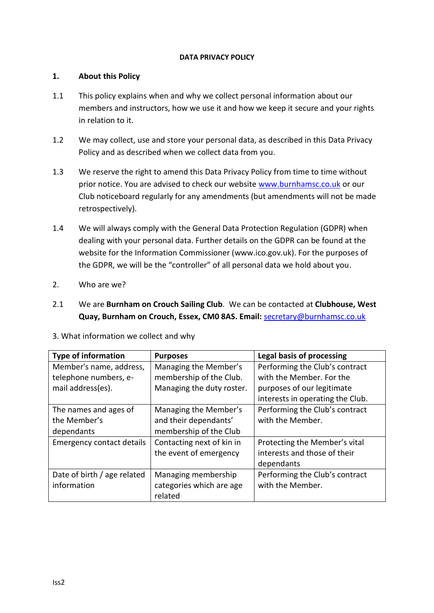#### **DATA PRIVACY POLICY**

### **1. About this Policy**

- 1.1 This policy explains when and why we collect personal information about our members and instructors, how we use it and how we keep it secure and your rights in relation to it.
- 1.2 We may collect, use and store your personal data, as described in this Data Privacy Policy and as described when we collect data from you.
- 1.3 We reserve the right to amend this Data Privacy Policy from time to time without prior notice. You are advised to check our website [www.burnhamsc.co.uk](http://www.burnhamsc.co.uk/) or our Club noticeboard regularly for any amendments (but amendments will not be made retrospectively).
- 1.4 We will always comply with the General Data Protection Regulation (GDPR) when dealing with your personal data. Further details on the GDPR can be found at the website for the Information Commissioner [\(www.ico.gov.uk\)](http://www.ico.gov.uk/). For the purposes of the GDPR, we will be the "controller" of all personal data we hold about you.
- 2. Who are we?
- 2.1 We are **Burnham on Crouch Sailing Club***.* We can be contacted at **Clubhouse, West Quay, Burnham on Crouch, Essex, CM0 8AS. Email:** [secretary@burnhamsc.co.uk](mailto:secretary@burnhamsc.co.uk)

| <b>Type of information</b>       | <b>Purposes</b>           | Legal basis of processing        |
|----------------------------------|---------------------------|----------------------------------|
| Member's name, address,          | Managing the Member's     | Performing the Club's contract   |
| telephone numbers, e-            | membership of the Club.   | with the Member. For the         |
| mail address(es).                | Managing the duty roster. | purposes of our legitimate       |
|                                  |                           | interests in operating the Club. |
| The names and ages of            | Managing the Member's     | Performing the Club's contract   |
| the Member's                     | and their dependants'     | with the Member.                 |
| dependants                       | membership of the Club    |                                  |
| <b>Emergency contact details</b> | Contacting next of kin in | Protecting the Member's vital    |
|                                  | the event of emergency    | interests and those of their     |
|                                  |                           | dependants                       |
| Date of birth / age related      | Managing membership       | Performing the Club's contract   |
| information                      | categories which are age  | with the Member.                 |
|                                  | related                   |                                  |

3. What information we collect and why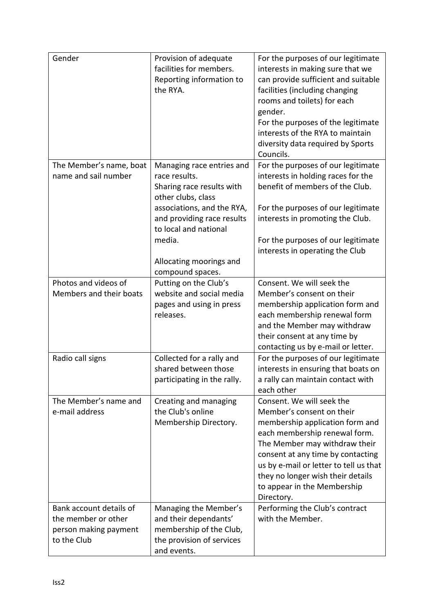| Gender                                                                                 | Provision of adequate<br>facilities for members.<br>Reporting information to<br>the RYA.                              | For the purposes of our legitimate<br>interests in making sure that we<br>can provide sufficient and suitable<br>facilities (including changing<br>rooms and toilets) for each<br>gender.<br>For the purposes of the legitimate<br>interests of the RYA to maintain<br>diversity data required by Sports<br>Councils.        |
|----------------------------------------------------------------------------------------|-----------------------------------------------------------------------------------------------------------------------|------------------------------------------------------------------------------------------------------------------------------------------------------------------------------------------------------------------------------------------------------------------------------------------------------------------------------|
| The Member's name, boat<br>name and sail number                                        | Managing race entries and<br>race results.<br>Sharing race results with<br>other clubs, class                         | For the purposes of our legitimate<br>interests in holding races for the<br>benefit of members of the Club.                                                                                                                                                                                                                  |
|                                                                                        | associations, and the RYA,<br>and providing race results<br>to local and national<br>media.                           | For the purposes of our legitimate<br>interests in promoting the Club.<br>For the purposes of our legitimate                                                                                                                                                                                                                 |
|                                                                                        | Allocating moorings and<br>compound spaces.                                                                           | interests in operating the Club                                                                                                                                                                                                                                                                                              |
| Photos and videos of<br>Members and their boats                                        | Putting on the Club's<br>website and social media<br>pages and using in press<br>releases.                            | Consent. We will seek the<br>Member's consent on their<br>membership application form and<br>each membership renewal form<br>and the Member may withdraw<br>their consent at any time by<br>contacting us by e-mail or letter.                                                                                               |
| Radio call signs                                                                       | Collected for a rally and<br>shared between those<br>participating in the rally.                                      | For the purposes of our legitimate<br>interests in ensuring that boats on<br>a rally can maintain contact with<br>each other                                                                                                                                                                                                 |
| The Member's name and<br>e-mail address                                                | Creating and managing<br>the Club's online<br>Membership Directory.                                                   | Consent. We will seek the<br>Member's consent on their<br>membership application form and<br>each membership renewal form.<br>The Member may withdraw their<br>consent at any time by contacting<br>us by e-mail or letter to tell us that<br>they no longer wish their details<br>to appear in the Membership<br>Directory. |
| Bank account details of<br>the member or other<br>person making payment<br>to the Club | Managing the Member's<br>and their dependants'<br>membership of the Club,<br>the provision of services<br>and events. | Performing the Club's contract<br>with the Member.                                                                                                                                                                                                                                                                           |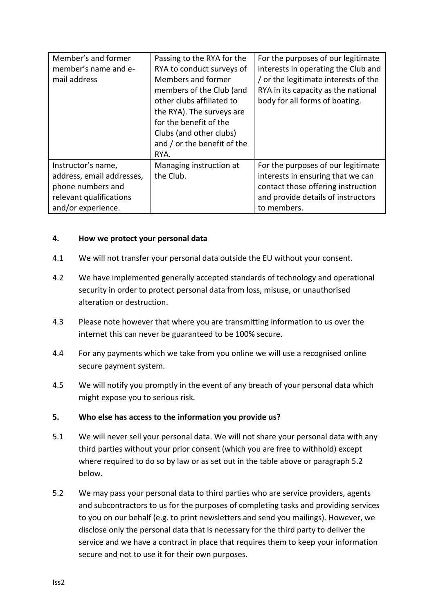| Member's and former       | Passing to the RYA for the  | For the purposes of our legitimate   |
|---------------------------|-----------------------------|--------------------------------------|
| member's name and e-      | RYA to conduct surveys of   | interests in operating the Club and  |
| mail address              | Members and former          | / or the legitimate interests of the |
|                           | members of the Club (and    | RYA in its capacity as the national  |
|                           | other clubs affiliated to   | body for all forms of boating.       |
|                           | the RYA). The surveys are   |                                      |
|                           | for the benefit of the      |                                      |
|                           | Clubs (and other clubs)     |                                      |
|                           | and / or the benefit of the |                                      |
|                           | RYA.                        |                                      |
| Instructor's name,        | Managing instruction at     | For the purposes of our legitimate   |
| address, email addresses, | the Club.                   | interests in ensuring that we can    |
| phone numbers and         |                             | contact those offering instruction   |
| relevant qualifications   |                             | and provide details of instructors   |
| and/or experience.        |                             | to members.                          |

### **4. How we protect your personal data**

- 4.1 We will not transfer your personal data outside the EU without your consent.
- 4.2 We have implemented generally accepted standards of technology and operational security in order to protect personal data from loss, misuse, or unauthorised alteration or destruction.
- 4.3 Please note however that where you are transmitting information to us over the internet this can never be guaranteed to be 100% secure.
- 4.4 For any payments which we take from you online we will use a recognised online secure payment system.
- 4.5 We will notify you promptly in the event of any breach of your personal data which might expose you to serious risk.

# **5. Who else has access to the information you provide us?**

- 5.1 We will never sell your personal data. We will not share your personal data with any third parties without your prior consent (which you are free to withhold) except where required to do so by law or as set out in the table above or paragraph 5.2 below.
- 5.2 We may pass your personal data to third parties who are service providers, agents and subcontractors to us for the purposes of completing tasks and providing services to you on our behalf (e.g. to print newsletters and send you mailings). However, we disclose only the personal data that is necessary for the third party to deliver the service and we have a contract in place that requires them to keep your information secure and not to use it for their own purposes.